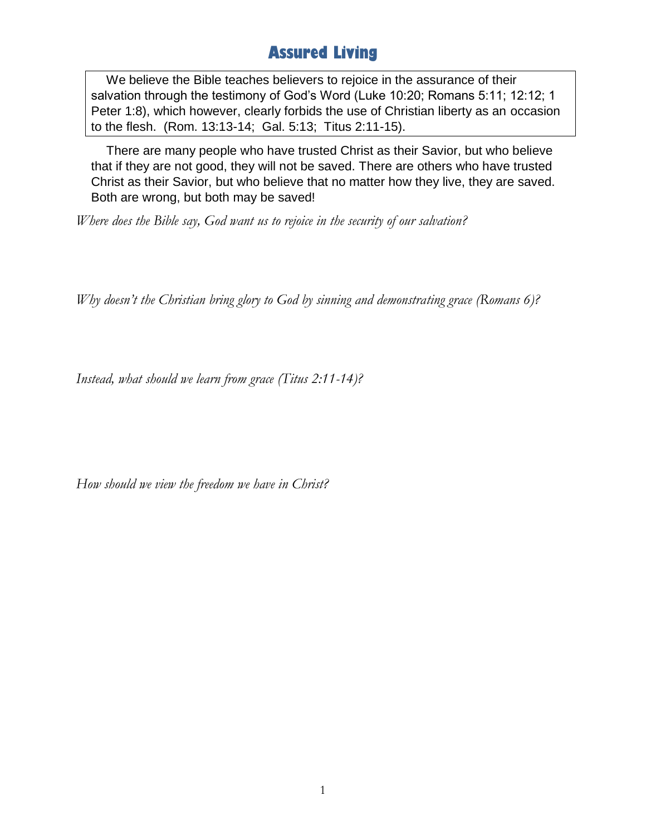## **Assured Living**

We believe the Bible teaches believers to rejoice in the assurance of their salvation through the testimony of God's Word (Luke 10:20; Romans 5:11; 12:12; 1 Peter 1:8), which however, clearly forbids the use of Christian liberty as an occasion to the flesh. (Rom. 13:13-14; Gal. 5:13; Titus 2:11-15).

There are many people who have trusted Christ as their Savior, but who believe that if they are not good, they will not be saved. There are others who have trusted Christ as their Savior, but who believe that no matter how they live, they are saved. Both are wrong, but both may be saved!

*Where does the Bible say, God want us to rejoice in the security of our salvation?*

*Why doesn't the Christian bring glory to God by sinning and demonstrating grace (Romans 6)?*

*Instead, what should we learn from grace (Titus 2:11-14)?*

*How should we view the freedom we have in Christ?*